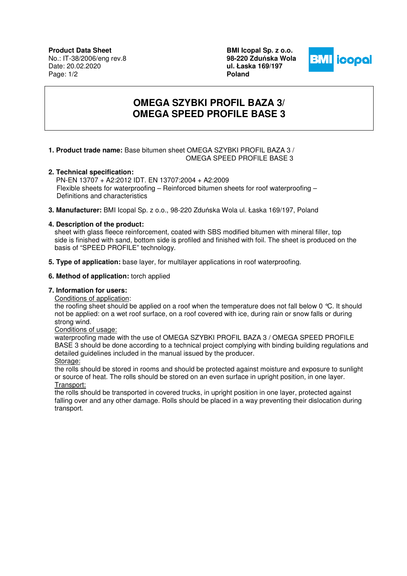**Product Data Sheet** No.: IT-38/2006/eng rev.8 Date: 20.02.2020 Page: 1/2

**BMI Icopal Sp. z o.o. 98-220 Zdu**ń**ska Wola ul. Łaska 169/197 Poland** 



# **OMEGA SZYBKI PROFIL BAZA 3/ OMEGA SPEED PROFILE BASE 3**

## **1. Product trade name:** Base bitumen sheet OMEGA SZYBKI PROFIL BAZA 3 / OMEGA SPEED PROFILE BASE 3

## **2. Technical specification:**

 PN-EN 13707 + A2:2012 IDT. EN 13707:2004 + A2:2009 Flexible sheets for waterproofing – Reinforced bitumen sheets for roof waterproofing – Definitions and characteristics

**3. Manufacturer:** BMI Icopal Sp. z o.o., 98-220 Zduńska Wola ul. Łaska 169/197, Poland

## **4. Description of the product:**

sheet with glass fleece reinforcement, coated with SBS modified bitumen with mineral filler, top side is finished with sand, bottom side is profiled and finished with foil. The sheet is produced on the basis of "SPEED PROFILE" technology.

**5. Type of application:** base layer, for multilayer applications in roof waterproofing.

#### **6. Method of application:** torch applied

#### **7. Information for users:**

Conditions of application:

the roofing sheet should be applied on a roof when the temperature does not fall below 0 °C. It should not be applied: on a wet roof surface, on a roof covered with ice, during rain or snow falls or during strong wind.

Conditions of usage:

 waterproofing made with the use of OMEGA SZYBKI PROFIL BAZA 3 / OMEGA SPEED PROFILE BASE 3 should be done according to a technical project complying with binding building regulations and detailed guidelines included in the manual issued by the producer. Storage:

the rolls should be stored in rooms and should be protected against moisture and exposure to sunlight or source of heat. The rolls should be stored on an even surface in upright position, in one layer. Transport:

the rolls should be transported in covered trucks, in upright position in one layer, protected against falling over and any other damage. Rolls should be placed in a way preventing their dislocation during transport.